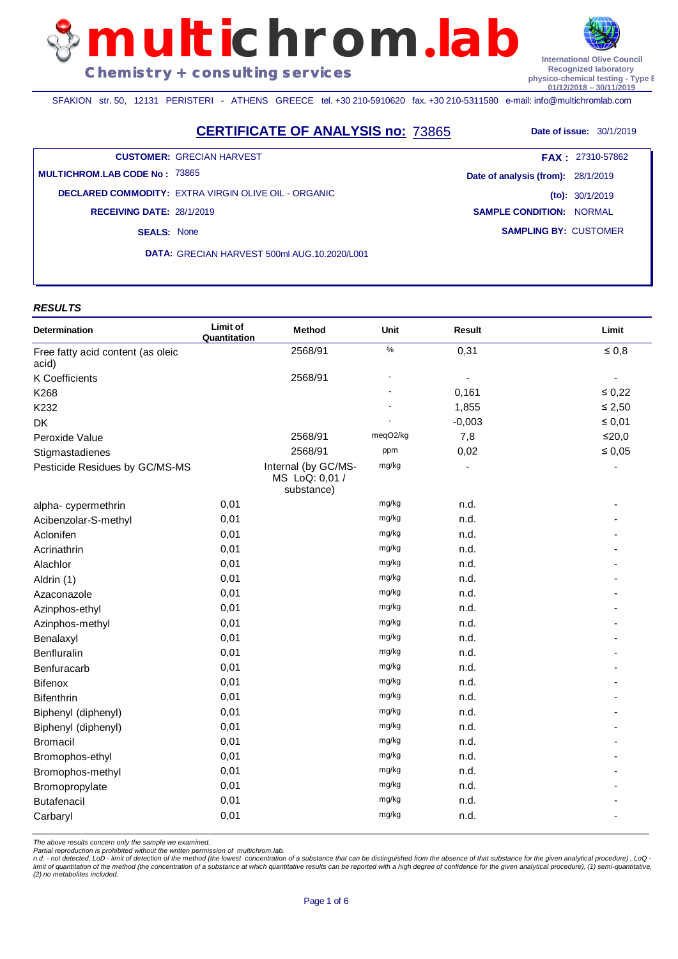**multichrom**.**lab Chemistry + consulting services**



**Recognized laboratory physico-chemical testing - Type B 01/12/2018 – 30/11/2019**

SFAKION str. 50, 12131 PERISTERI - ATHENS GREECE tel. +30 210-5910620 fax. +30 210-5311580 e-mail: info@multichromlab.com

**CERTIFICATE OF ANALYSIS no: 73865** Date of issue: 30/1/2019

**CUSTOMER:** GRECIAN HARVEST

**MULTICHROM.LAB CODE No :** 73865

**DECLARED COMMODITY:** EXTRA VIRGIN OLIVE OIL - ORGANIC **SEALS:** None **RECEIVING DATE:** 28/1/2019

**DATA:** GRECIAN HARVEST 500ml AUG.10.2020/L001

**SAMPLING BY:** CUSTOMER **Date of analysis (from):** 28/1/2019 **(to):** 30/1/2019 **SAMPLE CONDITION:** NORMAL **FAX :** 27310-57862

#### *RESULTS*

| Determination                              | Limit of<br>Quantitation | Method                                              | Unit     | Result   | Limit       |
|--------------------------------------------|--------------------------|-----------------------------------------------------|----------|----------|-------------|
| Free fatty acid content (as oleic<br>acid) |                          | 2568/91                                             | $\%$     | 0,31     | $\leq 0,8$  |
| K Coefficients                             |                          | 2568/91                                             |          |          | ÷,          |
| K268                                       |                          |                                                     |          | 0,161    | $\leq 0.22$ |
| K232                                       |                          |                                                     |          | 1,855    | $\leq 2,50$ |
| <b>DK</b>                                  |                          |                                                     |          | $-0,003$ | $\leq 0.01$ |
| Peroxide Value                             |                          | 2568/91                                             | meqO2/kg | 7,8      | $≤20,0$     |
| Stigmastadienes                            |                          | 2568/91                                             | ppm      | 0,02     | $\leq 0.05$ |
| Pesticide Residues by GC/MS-MS             |                          | Internal (by GC/MS-<br>MS LoQ: 0,01 /<br>substance) | mg/kg    |          |             |
| alpha-cypermethrin                         | 0,01                     |                                                     | mg/kg    | n.d.     |             |
| Acibenzolar-S-methyl                       | 0,01                     |                                                     | mg/kg    | n.d.     |             |
| Aclonifen                                  | 0,01                     |                                                     | mg/kg    | n.d.     |             |
| Acrinathrin                                | 0,01                     |                                                     | mg/kg    | n.d.     |             |
| Alachlor                                   | 0,01                     |                                                     | mg/kg    | n.d.     |             |
| Aldrin (1)                                 | 0,01                     |                                                     | mg/kg    | n.d.     |             |
| Azaconazole                                | 0,01                     |                                                     | mg/kg    | n.d.     |             |
| Azinphos-ethyl                             | 0,01                     |                                                     | mg/kg    | n.d.     |             |
| Azinphos-methyl                            | 0,01                     |                                                     | mg/kg    | n.d.     |             |
| Benalaxyl                                  | 0,01                     |                                                     | mg/kg    | n.d.     |             |
| Benfluralin                                | 0,01                     |                                                     | mg/kg    | n.d.     |             |
| Benfuracarb                                | 0,01                     |                                                     | mg/kg    | n.d.     |             |
| Bifenox                                    | 0,01                     |                                                     | mg/kg    | n.d.     |             |
| <b>Bifenthrin</b>                          | 0,01                     |                                                     | mg/kg    | n.d.     |             |
| Biphenyl (diphenyl)                        | 0,01                     |                                                     | mg/kg    | n.d.     |             |
| Biphenyl (diphenyl)                        | 0,01                     |                                                     | mg/kg    | n.d.     |             |
| <b>Bromacil</b>                            | 0,01                     |                                                     | mg/kg    | n.d.     |             |
| Bromophos-ethyl                            | 0,01                     |                                                     | mg/kg    | n.d.     |             |
| Bromophos-methyl                           | 0,01                     |                                                     | mg/kg    | n.d.     |             |
| Bromopropylate                             | 0,01                     |                                                     | mg/kg    | n.d.     |             |
| <b>Butafenacil</b>                         | 0,01                     |                                                     | mg/kg    | n.d.     |             |
| Carbaryl                                   | 0,01                     |                                                     | mg/kg    | n.d.     |             |

*The above results concern only the sample we examined.* 

*Partial reproduction is prohibited without the written permission of multichrom.lab.*

n.d. - not detected, LoD - limit of detection of the method (the lowest concentration of a substance that can be distinguished from the absence of that substance for the given analytical procedure), LoQ -<br>limit of quantita *(2) no metabolites included.*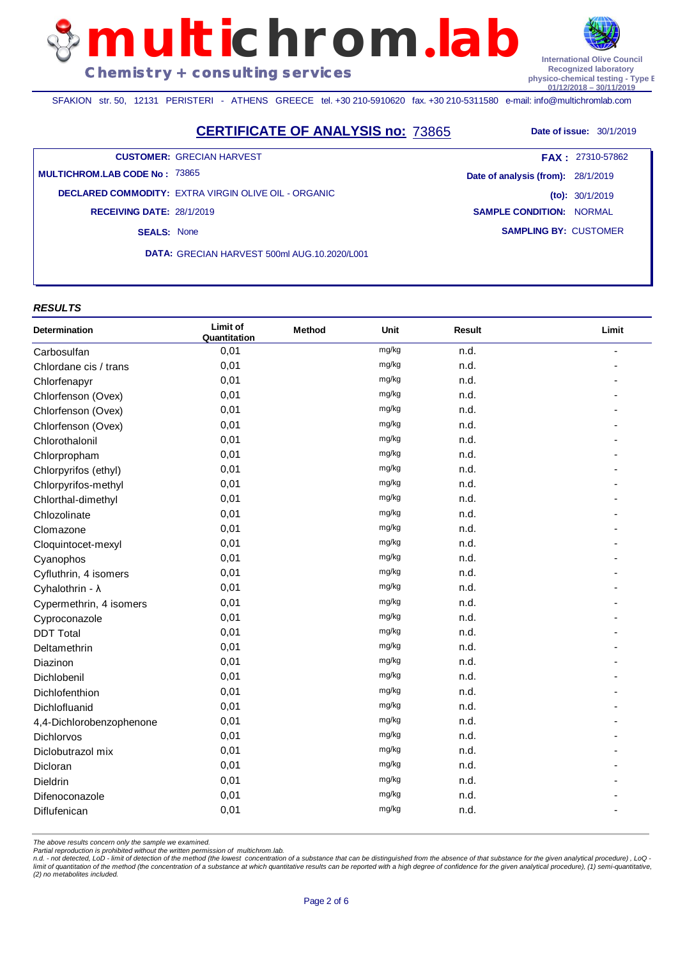SFAKION str. 50, 12131 PERISTERI - ATHENS GREECE tel. +30 210-5910620 fax. +30 210-5311580 e-mail: info@multichromlab.com

**CERTIFICATE OF ANALYSIS no: 73865** Date of issue: 30/1/2019

**multichrom**.**lab**

**CUSTOMER:** GRECIAN HARVEST

**MULTICHROM.LAB CODE No :** 73865

**DECLARED COMMODITY:** EXTRA VIRGIN OLIVE OIL - ORGANIC **RECEIVING DATE:** 28/1/2019

**SEALS:** None

**DATA:** GRECIAN HARVEST 500ml AUG.10.2020/L001

#### *RESULTS*

| Determination            | Limit of<br>Quantitation | <b>Method</b> | Unit  | <b>Result</b> | Limit |
|--------------------------|--------------------------|---------------|-------|---------------|-------|
| Carbosulfan              | 0,01                     |               | mg/kg | n.d.          |       |
| Chlordane cis / trans    | 0,01                     |               | mg/kg | n.d.          |       |
| Chlorfenapyr             | 0,01                     |               | mg/kg | n.d.          |       |
| Chlorfenson (Ovex)       | 0,01                     |               | mg/kg | n.d.          |       |
| Chlorfenson (Ovex)       | 0,01                     |               | mg/kg | n.d.          |       |
| Chlorfenson (Ovex)       | 0,01                     |               | mg/kg | n.d.          |       |
| Chlorothalonil           | 0,01                     |               | mg/kg | n.d.          |       |
| Chlorpropham             | 0,01                     |               | mg/kg | n.d.          |       |
| Chlorpyrifos (ethyl)     | 0,01                     |               | mg/kg | n.d.          |       |
| Chlorpyrifos-methyl      | 0,01                     |               | mg/kg | n.d.          |       |
| Chlorthal-dimethyl       | 0,01                     |               | mg/kg | n.d.          |       |
| Chlozolinate             | 0,01                     |               | mg/kg | n.d.          |       |
| Clomazone                | 0,01                     |               | mg/kg | n.d.          |       |
| Cloquintocet-mexyl       | 0,01                     |               | mg/kg | n.d.          |       |
| Cyanophos                | 0,01                     |               | mg/kg | n.d.          |       |
| Cyfluthrin, 4 isomers    | 0,01                     |               | mg/kg | n.d.          |       |
| Cyhalothrin - $\lambda$  | 0,01                     |               | mg/kg | n.d.          |       |
| Cypermethrin, 4 isomers  | 0,01                     |               | mg/kg | n.d.          |       |
| Cyproconazole            | 0,01                     |               | mg/kg | n.d.          |       |
| <b>DDT Total</b>         | 0,01                     |               | mg/kg | n.d.          |       |
| Deltamethrin             | 0,01                     |               | mg/kg | n.d.          |       |
| Diazinon                 | 0,01                     |               | mg/kg | n.d.          |       |
| Dichlobenil              | 0,01                     |               | mg/kg | n.d.          |       |
| Dichlofenthion           | 0,01                     |               | mg/kg | n.d.          |       |
| Dichlofluanid            | 0,01                     |               | mg/kg | n.d.          |       |
| 4,4-Dichlorobenzophenone | 0,01                     |               | mg/kg | n.d.          |       |
| <b>Dichlorvos</b>        | 0,01                     |               | mg/kg | n.d.          |       |
| Diclobutrazol mix        | 0,01                     |               | mg/kg | n.d.          |       |
| Dicloran                 | 0,01                     |               | mg/kg | n.d.          |       |
| Dieldrin                 | 0,01                     |               | mg/kg | n.d.          |       |
| Difenoconazole           | 0,01                     |               | mg/kg | n.d.          |       |
| Diflufenican             | 0,01                     |               | mg/kg | n.d.          |       |

*The above results concern only the sample we examined.* 

*Partial reproduction is prohibited without the written permission of multichrom.lab.*

n.d. - not detected, LoD - limit of detection of the method (the lowest concentration of a substance that can be distinguished from the absence of that substance for the given analytical procedure), LoQ -<br>limit of quantita *(2) no metabolites included.*

**International Olive Council Recognized laboratory physico-chemical testing - Type B 01/12/2018 – 30/11/2019**

**Date of analysis (from):** 28/1/2019 **(to):** 30/1/2019 **SAMPLE CONDITION:** NORMAL **FAX :** 27310-57862

**SAMPLING BY:** CUSTOMER

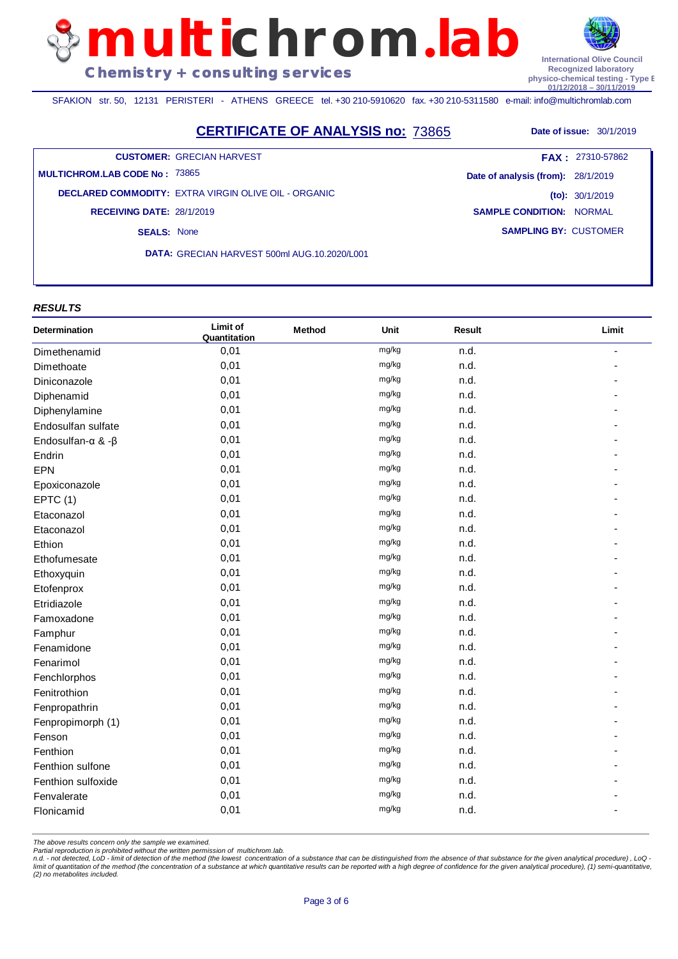SFAKION str. 50, 12131 PERISTERI - ATHENS GREECE tel. +30 210-5910620 fax. +30 210-5311580 e-mail: info@multichromlab.com

## **CERTIFICATE OF ANALYSIS no: 73865** Date of issue: 30/1/2019

**multichrom**.**lab**

**CUSTOMER:** GRECIAN HARVEST

**MULTICHROM.LAB CODE No :** 73865

**DECLARED COMMODITY:** EXTRA VIRGIN OLIVE OIL - ORGANIC **RECEIVING DATE:** 28/1/2019

**SEALS:** None

**DATA:** GRECIAN HARVEST 500ml AUG.10.2020/L001

#### *RESULTS*

| Determination      | Limit of<br>Quantitation | Method | Unit  | <b>Result</b> | Limit |
|--------------------|--------------------------|--------|-------|---------------|-------|
| Dimethenamid       | 0,01                     |        | mg/kg | n.d.          |       |
| Dimethoate         | 0,01                     |        | mg/kg | n.d.          |       |
| Diniconazole       | 0,01                     |        | mg/kg | n.d.          |       |
| Diphenamid         | 0,01                     |        | mg/kg | n.d.          |       |
| Diphenylamine      | 0,01                     |        | mg/kg | n.d.          |       |
| Endosulfan sulfate | 0,01                     |        | mg/kg | n.d.          |       |
| Endosulfan-α & -β  | 0,01                     |        | mg/kg | n.d.          |       |
| Endrin             | 0,01                     |        | mg/kg | n.d.          |       |
| <b>EPN</b>         | 0,01                     |        | mg/kg | n.d.          |       |
| Epoxiconazole      | 0,01                     |        | mg/kg | n.d.          |       |
| EPTC(1)            | 0,01                     |        | mg/kg | n.d.          |       |
| Etaconazol         | 0,01                     |        | mg/kg | n.d.          |       |
| Etaconazol         | 0,01                     |        | mg/kg | n.d.          |       |
| Ethion             | 0,01                     |        | mg/kg | n.d.          |       |
| Ethofumesate       | 0,01                     |        | mg/kg | n.d.          |       |
| Ethoxyquin         | 0,01                     |        | mg/kg | n.d.          |       |
| Etofenprox         | 0,01                     |        | mg/kg | n.d.          |       |
| Etridiazole        | 0,01                     |        | mg/kg | n.d.          |       |
| Famoxadone         | 0,01                     |        | mg/kg | n.d.          |       |
| Famphur            | 0,01                     |        | mg/kg | n.d.          |       |
| Fenamidone         | 0,01                     |        | mg/kg | n.d.          |       |
| Fenarimol          | 0,01                     |        | mg/kg | n.d.          |       |
| Fenchlorphos       | 0,01                     |        | mg/kg | n.d.          |       |
| Fenitrothion       | 0,01                     |        | mg/kg | n.d.          |       |
| Fenpropathrin      | 0,01                     |        | mg/kg | n.d.          |       |
| Fenpropimorph (1)  | 0,01                     |        | mg/kg | n.d.          |       |
| Fenson             | 0,01                     |        | mg/kg | n.d.          |       |
| Fenthion           | 0,01                     |        | mg/kg | n.d.          |       |
| Fenthion sulfone   | 0,01                     |        | mg/kg | n.d.          |       |
| Fenthion sulfoxide | 0,01                     |        | mg/kg | n.d.          |       |
| Fenvalerate        | 0,01                     |        | mg/kg | n.d.          |       |
| Flonicamid         | 0,01                     |        | mg/kg | n.d.          |       |

*The above results concern only the sample we examined.* 

*Partial reproduction is prohibited without the written permission of multichrom.lab.*

n.d. - not detected, LoD - limit of detection of the method (the lowest concentration of a substance that can be distinguished from the absence of that substance for the given analytical procedure), LoQ -<br>limit of quantita *(2) no metabolites included.*

**International Olive Council Recognized laboratory physico-chemical testing - Type B 01/12/2018 – 30/11/2019**

**SAMPLING BY:** CUSTOMER **Date of analysis (from):** 28/1/2019 **(to):** 30/1/2019 **SAMPLE CONDITION:** NORMAL **FAX :** 27310-57862

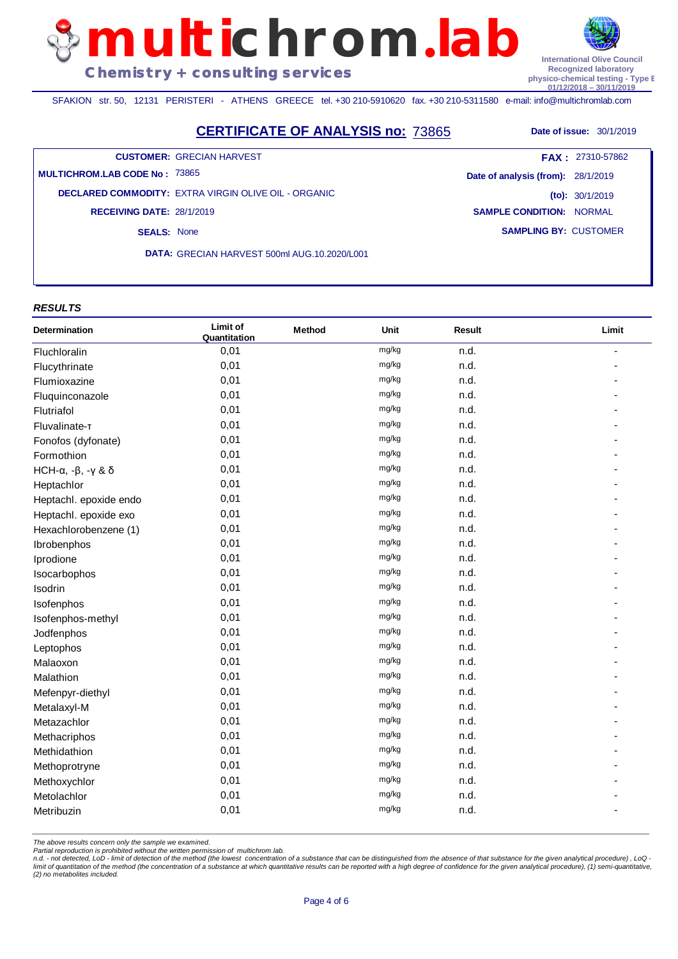SFAKION str. 50, 12131 PERISTERI - ATHENS GREECE tel. +30 210-5910620 fax. +30 210-5311580 e-mail: info@multichromlab.com

**CERTIFICATE OF ANALYSIS no: 73865** Date of issue: 30/1/2019

**CUSTOMER:** GRECIAN HARVEST

**MULTICHROM.LAB CODE No :** 73865

**DECLARED COMMODITY:** EXTRA VIRGIN OLIVE OIL - ORGANIC **RECEIVING DATE:** 28/1/2019

**SEALS:** None

**DATA:** GRECIAN HARVEST 500ml AUG.10.2020/L001

#### *RESULTS*

| Determination              | Limit of<br>Quantitation | Method | Unit  | <b>Result</b> | Limit |
|----------------------------|--------------------------|--------|-------|---------------|-------|
| Fluchloralin               | 0,01                     |        | mg/kg | n.d.          |       |
| Flucythrinate              | 0,01                     |        | mg/kg | n.d.          |       |
| Flumioxazine               | 0,01                     |        | mg/kg | n.d.          |       |
| Fluquinconazole            | 0,01                     |        | mg/kg | n.d.          |       |
| Flutriafol                 | 0,01                     |        | mg/kg | n.d.          |       |
| Fluvalinate-T              | 0,01                     |        | mg/kg | n.d.          |       |
| Fonofos (dyfonate)         | 0,01                     |        | mg/kg | n.d.          |       |
| Formothion                 | 0,01                     |        | mg/kg | n.d.          |       |
| HCH- $\alpha$ , -β, -γ & δ | 0,01                     |        | mg/kg | n.d.          |       |
| Heptachlor                 | 0,01                     |        | mg/kg | n.d.          |       |
| Heptachl. epoxide endo     | 0,01                     |        | mg/kg | n.d.          |       |
| Heptachl. epoxide exo      | 0,01                     |        | mg/kg | n.d.          |       |
| Hexachlorobenzene (1)      | 0,01                     |        | mg/kg | n.d.          |       |
| Ibrobenphos                | 0,01                     |        | mg/kg | n.d.          |       |
| Iprodione                  | 0,01                     |        | mg/kg | n.d.          |       |
| Isocarbophos               | 0,01                     |        | mg/kg | n.d.          |       |
| Isodrin                    | 0,01                     |        | mg/kg | n.d.          |       |
| Isofenphos                 | 0,01                     |        | mg/kg | n.d.          |       |
| Isofenphos-methyl          | 0,01                     |        | mg/kg | n.d.          |       |
| Jodfenphos                 | 0,01                     |        | mg/kg | n.d.          |       |
| Leptophos                  | 0,01                     |        | mg/kg | n.d.          |       |
| Malaoxon                   | 0,01                     |        | mg/kg | n.d.          |       |
| Malathion                  | 0,01                     |        | mg/kg | n.d.          |       |
| Mefenpyr-diethyl           | 0,01                     |        | mg/kg | n.d.          |       |
| Metalaxyl-M                | 0,01                     |        | mg/kg | n.d.          |       |
| Metazachlor                | 0,01                     |        | mg/kg | n.d.          |       |
| Methacriphos               | 0,01                     |        | mg/kg | n.d.          |       |
| Methidathion               | 0,01                     |        | mg/kg | n.d.          |       |
| Methoprotryne              | 0,01                     |        | mg/kg | n.d.          |       |
| Methoxychlor               | 0,01                     |        | mg/kg | n.d.          |       |
| Metolachlor                | 0,01                     |        | mg/kg | n.d.          |       |
| Metribuzin                 | 0,01                     |        | mg/kg | n.d.          |       |

*The above results concern only the sample we examined.* 

*Partial reproduction is prohibited without the written permission of multichrom.lab.*

n.d. - not detected, LoD - limit of detection of the method (the lowest concentration of a substance that can be distinguished from the absence of that substance for the given analytical procedure), LoQ -<br>limit of quantita *(2) no metabolites included.*

**SAMPLING BY:** CUSTOMER **Date of analysis (from):** 28/1/2019 **(to):** 30/1/2019 **SAMPLE CONDITION:** NORMAL **FAX :** 27310-57862



**physico-chemical testing - Type B 01/12/2018 – 30/11/2019**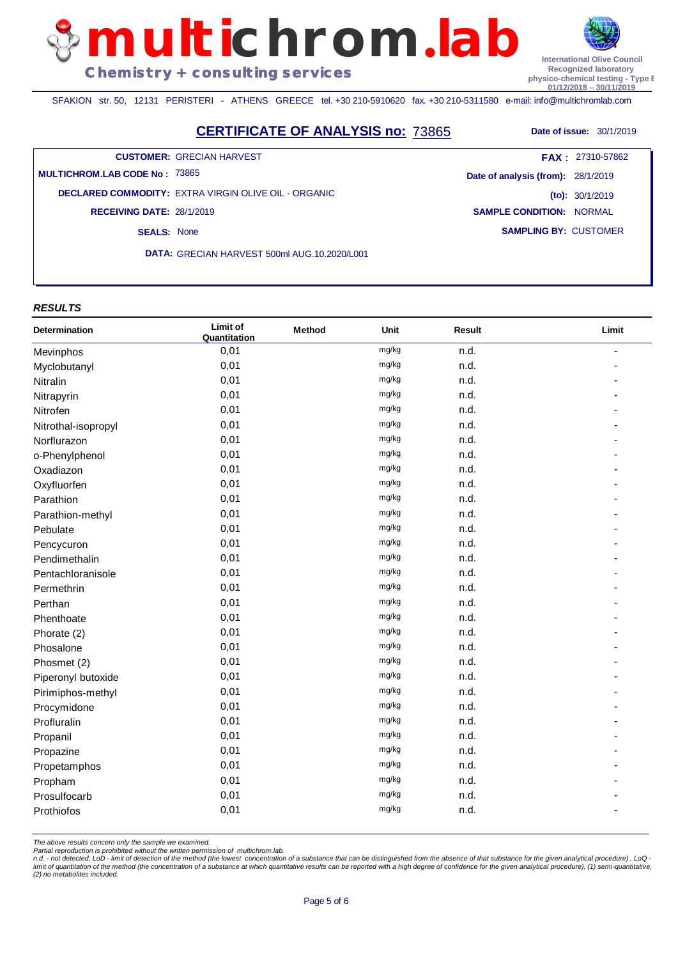SFAKION str. 50, 12131 PERISTERI - ATHENS GREECE tel. +30 210-5910620 fax. +30 210-5311580 e-mail: info@multichromlab.com

# **CERTIFICATE OF ANALYSIS no: 73865** Date of issue: 30/1/2019

**multichrom**.**lab**

**CUSTOMER:** GRECIAN HARVEST

**MULTICHROM.LAB CODE No :** 73865

**DECLARED COMMODITY:** EXTRA VIRGIN OLIVE OIL - ORGANIC **RECEIVING DATE:** 28/1/2019

**SEALS:** None

**DATA:** GRECIAN HARVEST 500ml AUG.10.2020/L001

#### *RESULTS*

| Determination       | Limit of<br>Quantitation | <b>Method</b> | Unit  | <b>Result</b> | Limit |
|---------------------|--------------------------|---------------|-------|---------------|-------|
| Mevinphos           | 0,01                     |               | mg/kg | n.d.          |       |
| Myclobutanyl        | 0,01                     |               | mg/kg | n.d.          |       |
| Nitralin            | 0,01                     |               | mg/kg | n.d.          |       |
| Nitrapyrin          | 0,01                     |               | mg/kg | n.d.          |       |
| Nitrofen            | 0,01                     |               | mg/kg | n.d.          |       |
| Nitrothal-isopropyl | 0,01                     |               | mg/kg | n.d.          |       |
| Norflurazon         | 0,01                     |               | mg/kg | n.d.          |       |
| o-Phenylphenol      | 0,01                     |               | mg/kg | n.d.          |       |
| Oxadiazon           | 0,01                     |               | mg/kg | n.d.          |       |
| Oxyfluorfen         | 0,01                     |               | mg/kg | n.d.          |       |
| Parathion           | 0,01                     |               | mg/kg | n.d.          |       |
| Parathion-methyl    | 0,01                     |               | mg/kg | n.d.          |       |
| Pebulate            | 0,01                     |               | mg/kg | n.d.          |       |
| Pencycuron          | 0,01                     |               | mg/kg | n.d.          |       |
| Pendimethalin       | 0,01                     |               | mg/kg | n.d.          |       |
| Pentachloranisole   | 0,01                     |               | mg/kg | n.d.          |       |
| Permethrin          | 0,01                     |               | mg/kg | n.d.          |       |
| Perthan             | 0,01                     |               | mg/kg | n.d.          |       |
| Phenthoate          | 0,01                     |               | mg/kg | n.d.          |       |
| Phorate (2)         | 0,01                     |               | mg/kg | n.d.          |       |
| Phosalone           | 0,01                     |               | mg/kg | n.d.          |       |
| Phosmet (2)         | 0,01                     |               | mg/kg | n.d.          |       |
| Piperonyl butoxide  | 0,01                     |               | mg/kg | n.d.          |       |
| Pirimiphos-methyl   | 0,01                     |               | mg/kg | n.d.          |       |
| Procymidone         | 0,01                     |               | mg/kg | n.d.          |       |
| Profluralin         | 0,01                     |               | mg/kg | n.d.          |       |
| Propanil            | 0,01                     |               | mg/kg | n.d.          |       |
| Propazine           | 0,01                     |               | mg/kg | n.d.          |       |
| Propetamphos        | 0,01                     |               | mg/kg | n.d.          |       |
| Propham             | 0,01                     |               | mg/kg | n.d.          |       |
| Prosulfocarb        | 0,01                     |               | mg/kg | n.d.          |       |
| Prothiofos          | 0,01                     |               | mg/kg | n.d.          |       |

*The above results concern only the sample we examined.* 

*Partial reproduction is prohibited without the written permission of multichrom.lab.*

n.d. - not detected, LoD - limit of detection of the method (the lowest concentration of a substance that can be distinguished from the absence of that substance for the given analytical procedure), LoQ -<br>limit of quantita *(2) no metabolites included.*

**International Olive Council Recognized laboratory physico-chemical testing - Type B 01/12/2018 – 30/11/2019**

**SAMPLING BY:** CUSTOMER **Date of analysis (from):** 28/1/2019 **(to):** 30/1/2019 **SAMPLE CONDITION:** NORMAL **FAX :** 27310-57862